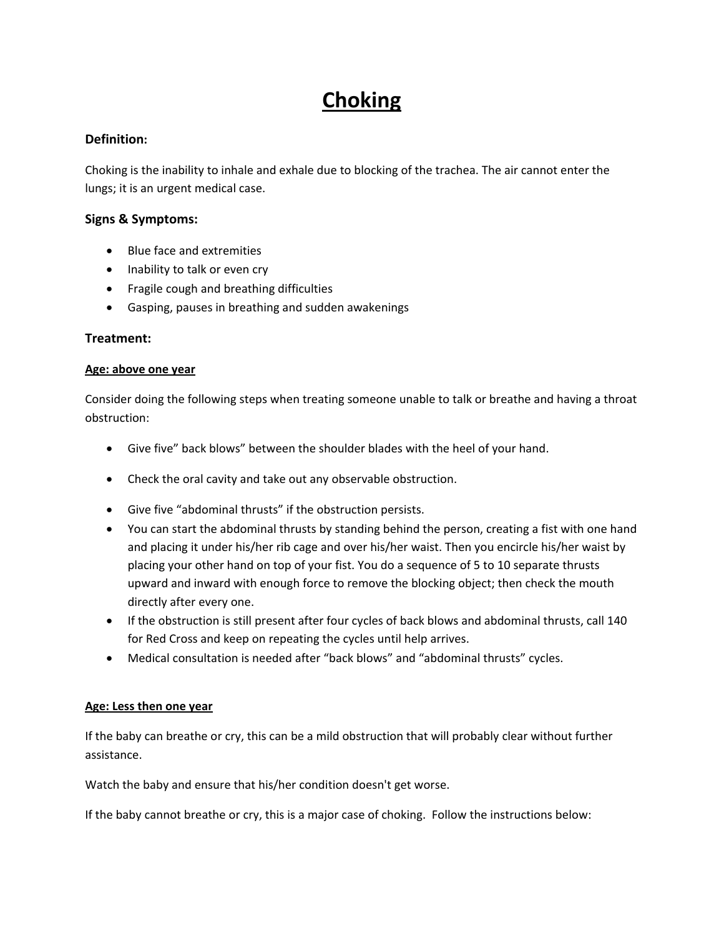# **Choking**

## **Definition:**

Choking is the inability to inhale and exhale due to blocking of the trachea. The air cannot enter the lungs; it is an urgent medical case.

### **Signs & Symptoms:**

- Blue face and extremities
- Inability to talk or even cry
- Fragile cough and breathing difficulties
- Gasping, pauses in breathing and sudden awakenings

### **Treatment:**

#### **Age: above one year**

Consider doing the following steps when treating someone unable to talk or breathe and having a throat obstruction:

- Give five" back blows" between the shoulder blades with the heel of your hand.
- Check the oral cavity and take out any observable obstruction.
- Give five "abdominal thrusts" if the obstruction persists.
- You can start the abdominal thrusts by standing behind the person, creating a fist with one hand and placing it under his/her rib cage and over his/her waist. Then you encircle his/her waist by placing your other hand on top of your fist. You do a sequence of 5 to 10 separate thrusts upward and inward with enough force to remove the blocking object; then check the mouth directly after every one.
- If the obstruction is still present after four cycles of back blows and abdominal thrusts, call 140 for Red Cross and keep on repeating the cycles until help arrives.
- Medical consultation is needed after "back blows" and "abdominal thrusts" cycles.

#### **Age: Less then one year**

If the baby can breathe or cry, this can be a mild obstruction that will probably clear without further assistance.

Watch the baby and ensure that his/her condition doesn't get worse.

If the baby cannot breathe or cry, this is a major case of choking. Follow the instructions below: